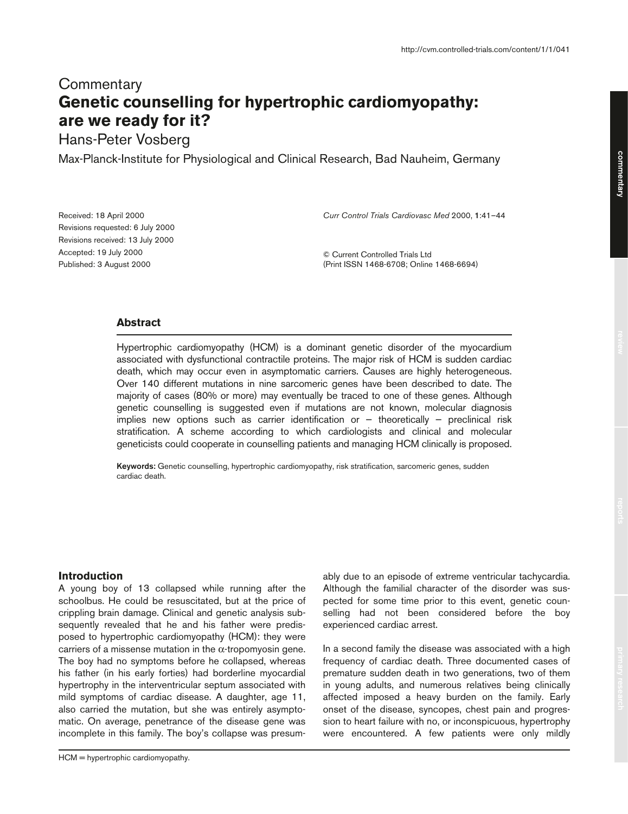# **Commentary Genetic counselling for hypertrophic cardiomyopathy: are we ready for it?**

Hans-Peter Vosberg

Max-Planck-Institute for Physiological and Clinical Research, Bad Nauheim, Germany

Received: 18 April 2000 Revisions requested: 6 July 2000 Revisions received: 13 July 2000 Accepted: 19 July 2000 Published: 3 August 2000

*Curr Control Trials Cardiovasc Med* 2000, **1**:41–44

© Current Controlled Trials Ltd (Print ISSN 1468-6708; Online 1468-6694)

## **Abstract**

Hypertrophic cardiomyopathy (HCM) is a dominant genetic disorder of the myocardium associated with dysfunctional contractile proteins. The major risk of HCM is sudden cardiac death, which may occur even in asymptomatic carriers. Causes are highly heterogeneous. Over 140 different mutations in nine sarcomeric genes have been described to date. The majority of cases (80% or more) may eventually be traced to one of these genes. Although genetic counselling is suggested even if mutations are not known, molecular diagnosis implies new options such as carrier identification or  $-$  theoretically  $-$  preclinical risk stratification. A scheme according to which cardiologists and clinical and molecular geneticists could cooperate in counselling patients and managing HCM clinically is proposed.

**Keywords:** Genetic counselling, hypertrophic cardiomyopathy, risk stratification, sarcomeric genes, sudden cardiac death.

#### **Introduction**

A young boy of 13 collapsed while running after the schoolbus. He could be resuscitated, but at the price of crippling brain damage. Clinical and genetic analysis subsequently revealed that he and his father were predisposed to hypertrophic cardiomyopathy (HCM): they were carriers of a missense mutation in the  $\alpha$ -tropomyosin gene. The boy had no symptoms before he collapsed, whereas his father (in his early forties) had borderline myocardial hypertrophy in the interventricular septum associated with mild symptoms of cardiac disease. A daughter, age 11, also carried the mutation, but she was entirely asymptomatic. On average, penetrance of the disease gene was incomplete in this family. The boy's collapse was presumably due to an episode of extreme ventricular tachycardia. Although the familial character of the disorder was suspected for some time prior to this event, genetic counselling had not been considered before the boy experienced cardiac arrest.

In a second family the disease was associated with a high frequency of cardiac death. Three documented cases of premature sudden death in two generations, two of them in young adults, and numerous relatives being clinically affected imposed a heavy burden on the family. Early onset of the disease, syncopes, chest pain and progression to heart failure with no, or inconspicuous, hypertrophy were encountered. A few patients were only mildly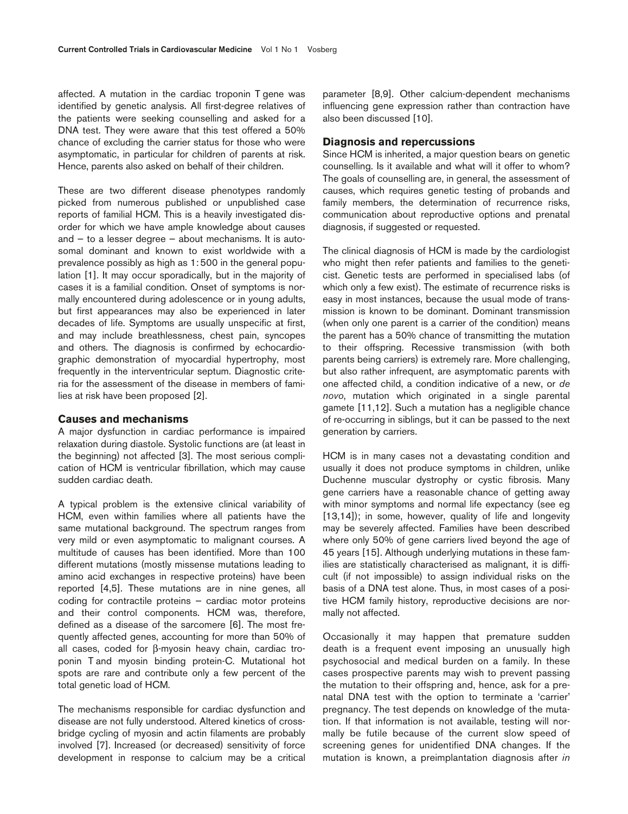affected. A mutation in the cardiac troponin T gene was identified by genetic analysis. All first-degree relatives of the patients were seeking counselling and asked for a DNA test. They were aware that this test offered a 50% chance of excluding the carrier status for those who were asymptomatic, in particular for children of parents at risk. Hence, parents also asked on behalf of their children.

These are two different disease phenotypes randomly picked from numerous published or unpublished case reports of familial HCM. This is a heavily investigated disorder for which we have ample knowledge about causes and  $-$  to a lesser degree  $-$  about mechanisms. It is autosomal dominant and known to exist worldwide with a prevalence possibly as high as 1: 500 in the general population [1]. It may occur sporadically, but in the majority of cases it is a familial condition. Onset of symptoms is normally encountered during adolescence or in young adults, but first appearances may also be experienced in later decades of life. Symptoms are usually unspecific at first, and may include breathlessness, chest pain, syncopes and others. The diagnosis is confirmed by echocardiographic demonstration of myocardial hypertrophy, most frequently in the interventricular septum. Diagnostic criteria for the assessment of the disease in members of families at risk have been proposed [2].

#### **Causes and mechanisms**

A major dysfunction in cardiac performance is impaired relaxation during diastole. Systolic functions are (at least in the beginning) not affected [3]. The most serious complication of HCM is ventricular fibrillation, which may cause sudden cardiac death.

A typical problem is the extensive clinical variability of HCM, even within families where all patients have the same mutational background. The spectrum ranges from very mild or even asymptomatic to malignant courses. A multitude of causes has been identified. More than 100 different mutations (mostly missense mutations leading to amino acid exchanges in respective proteins) have been reported [4,5]. These mutations are in nine genes, all coding for contractile proteins — cardiac motor proteins and their control components. HCM was, therefore, defined as a disease of the sarcomere [6]. The most frequently affected genes, accounting for more than 50% of all cases, coded for β-myosin heavy chain, cardiac troponin T and myosin binding protein-C. Mutational hot spots are rare and contribute only a few percent of the total genetic load of HCM.

The mechanisms responsible for cardiac dysfunction and disease are not fully understood. Altered kinetics of crossbridge cycling of myosin and actin filaments are probably involved [7]. Increased (or decreased) sensitivity of force development in response to calcium may be a critical

parameter [8,9]. Other calcium-dependent mechanisms influencing gene expression rather than contraction have also been discussed [10].

#### **Diagnosis and repercussions**

Since HCM is inherited, a major question bears on genetic counselling. Is it available and what will it offer to whom? The goals of counselling are, in general, the assessment of causes, which requires genetic testing of probands and family members, the determination of recurrence risks, communication about reproductive options and prenatal diagnosis, if suggested or requested.

The clinical diagnosis of HCM is made by the cardiologist who might then refer patients and families to the geneticist. Genetic tests are performed in specialised labs (of which only a few exist). The estimate of recurrence risks is easy in most instances, because the usual mode of transmission is known to be dominant. Dominant transmission (when only one parent is a carrier of the condition) means the parent has a 50% chance of transmitting the mutation to their offspring. Recessive transmission (with both parents being carriers) is extremely rare. More challenging, but also rather infrequent, are asymptomatic parents with one affected child, a condition indicative of a new, or *de novo*, mutation which originated in a single parental gamete [11,12]. Such a mutation has a negligible chance of re-occurring in siblings, but it can be passed to the next generation by carriers.

HCM is in many cases not a devastating condition and usually it does not produce symptoms in children, unlike Duchenne muscular dystrophy or cystic fibrosis. Many gene carriers have a reasonable chance of getting away with minor symptoms and normal life expectancy (see eg [13,14]); in some, however, quality of life and longevity may be severely affected. Families have been described where only 50% of gene carriers lived beyond the age of 45 years [15]. Although underlying mutations in these families are statistically characterised as malignant, it is difficult (if not impossible) to assign individual risks on the basis of a DNA test alone. Thus, in most cases of a positive HCM family history, reproductive decisions are normally not affected.

Occasionally it may happen that premature sudden death is a frequent event imposing an unusually high psychosocial and medical burden on a family. In these cases prospective parents may wish to prevent passing the mutation to their offspring and, hence, ask for a prenatal DNA test with the option to terminate a 'carrier' pregnancy. The test depends on knowledge of the mutation. If that information is not available, testing will normally be futile because of the current slow speed of screening genes for unidentified DNA changes. If the mutation is known, a preimplantation diagnosis after *in*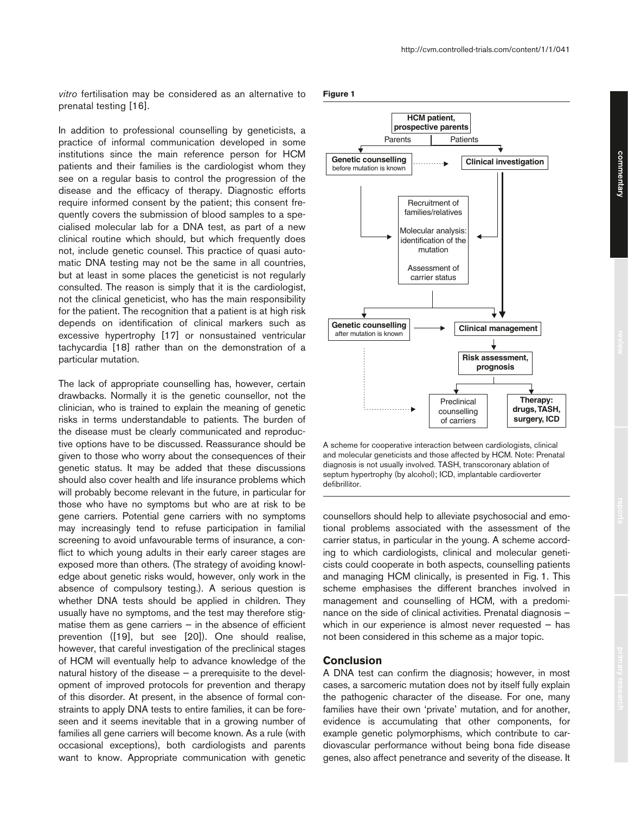*vitro* fertilisation may be considered as an alternative to prenatal testing [16].

In addition to professional counselling by geneticists, a practice of informal communication developed in some institutions since the main reference person for HCM patients and their families is the cardiologist whom they see on a regular basis to control the progression of the disease and the efficacy of therapy. Diagnostic efforts require informed consent by the patient; this consent frequently covers the submission of blood samples to a specialised molecular lab for a DNA test, as part of a new clinical routine which should, but which frequently does not, include genetic counsel. This practice of quasi automatic DNA testing may not be the same in all countries, but at least in some places the geneticist is not regularly consulted. The reason is simply that it is the cardiologist, not the clinical geneticist, who has the main responsibility for the patient. The recognition that a patient is at high risk depends on identification of clinical markers such as excessive hypertrophy [17] or nonsustained ventricular tachycardia [18] rather than on the demonstration of a particular mutation.

The lack of appropriate counselling has, however, certain drawbacks. Normally it is the genetic counsellor, not the clinician, who is trained to explain the meaning of genetic risks in terms understandable to patients. The burden of the disease must be clearly communicated and reproductive options have to be discussed. Reassurance should be given to those who worry about the consequences of their genetic status. It may be added that these discussions should also cover health and life insurance problems which will probably become relevant in the future, in particular for those who have no symptoms but who are at risk to be gene carriers. Potential gene carriers with no symptoms may increasingly tend to refuse participation in familial screening to avoid unfavourable terms of insurance, a conflict to which young adults in their early career stages are exposed more than others. (The strategy of avoiding knowledge about genetic risks would, however, only work in the absence of compulsory testing.). A serious question is whether DNA tests should be applied in children. They usually have no symptoms, and the test may therefore stigmatise them as gene carriers  $-$  in the absence of efficient prevention ([19], but see [20]). One should realise, however, that careful investigation of the preclinical stages of HCM will eventually help to advance knowledge of the natural history of the disease  $-$  a prerequisite to the development of improved protocols for prevention and therapy of this disorder. At present, in the absence of formal constraints to apply DNA tests to entire families, it can be foreseen and it seems inevitable that in a growing number of families all gene carriers will become known. As a rule (with occasional exceptions), both cardiologists and parents want to know. Appropriate communication with genetic

#### **Figure 1**



A scheme for cooperative interaction between cardiologists, clinical and molecular geneticists and those affected by HCM. Note: Prenatal diagnosis is not usually involved. TASH, transcoronary ablation of septum hypertrophy (by alcohol); ICD, implantable cardioverter defibrillitor.

counsellors should help to alleviate psychosocial and emotional problems associated with the assessment of the carrier status, in particular in the young. A scheme according to which cardiologists, clinical and molecular geneticists could cooperate in both aspects, counselling patients and managing HCM clinically, is presented in Fig. 1. This scheme emphasises the different branches involved in management and counselling of HCM, with a predominance on the side of clinical activities. Prenatal diagnosis which in our experience is almost never requested - has not been considered in this scheme as a major topic.

### **Conclusion**

A DNA test can confirm the diagnosis; however, in most cases, a sarcomeric mutation does not by itself fully explain the pathogenic character of the disease. For one, many families have their own 'private' mutation, and for another, evidence is accumulating that other components, for example genetic polymorphisms, which contribute to cardiovascular performance without being bona fide disease genes, also affect penetrance and severity of the disease. It